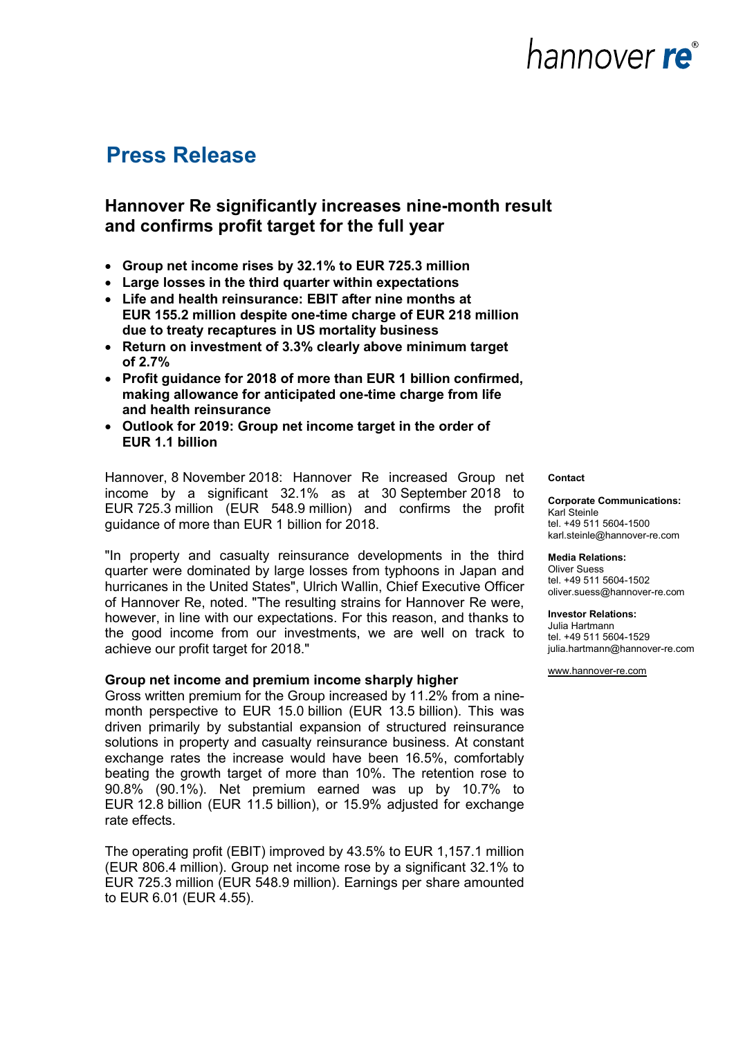### **Press Release**

### **Hannover Re significantly increases nine-month result and confirms profit target for the full year**

- **Group net income rises by 32.1% to EUR 725.3 million**
- **Large losses in the third quarter within expectations**
- **Life and health reinsurance: EBIT after nine months at EUR 155.2 million despite one-time charge of EUR 218 million due to treaty recaptures in US mortality business**
- **Return on investment of 3.3% clearly above minimum target of 2.7%**
- **Profit guidance for 2018 of more than EUR 1 billion confirmed, making allowance for anticipated one-time charge from life and health reinsurance**
- **Outlook for 2019: Group net income target in the order of EUR 1.1 billion**

Hannover, 8 November 2018: Hannover Re increased Group net income by a significant 32.1% as at 30 September 2018 to EUR 725.3 million (EUR 548.9 million) and confirms the profit guidance of more than EUR 1 billion for 2018.

"In property and casualty reinsurance developments in the third quarter were dominated by large losses from typhoons in Japan and hurricanes in the United States", Ulrich Wallin, Chief Executive Officer of Hannover Re, noted. "The resulting strains for Hannover Re were, however, in line with our expectations. For this reason, and thanks to the good income from our investments, we are well on track to achieve our profit target for 2018."

#### **Group net income and premium income sharply higher**

Gross written premium for the Group increased by 11.2% from a ninemonth perspective to EUR 15.0 billion (EUR 13.5 billion). This was driven primarily by substantial expansion of structured reinsurance solutions in property and casualty reinsurance business. At constant exchange rates the increase would have been 16.5%, comfortably beating the growth target of more than 10%. The retention rose to 90.8% (90.1%). Net premium earned was up by 10.7% to EUR 12.8 billion (EUR 11.5 billion), or 15.9% adjusted for exchange rate effects.

The operating profit (EBIT) improved by 43.5% to EUR 1,157.1 million (EUR 806.4 million). Group net income rose by a significant 32.1% to EUR 725.3 million (EUR 548.9 million). Earnings per share amounted to EUR 6.01 (EUR 4.55).

#### **Contact**

#### **Corporate Communications:** Karl Steinle tel. +49 511 5604-1500

karl.steinle@hannover-re.com

**Media Relations:**  Oliver Suess tel. +49 511 5604-1502 oliver.suess@hannover-re.com

#### **Investor Relations:**

Julia Hartmann tel. +49 511 5604-1529 julia.hartmann@hannover-re.com

[www.hannover-re.com](http://www.hannover-re.com/)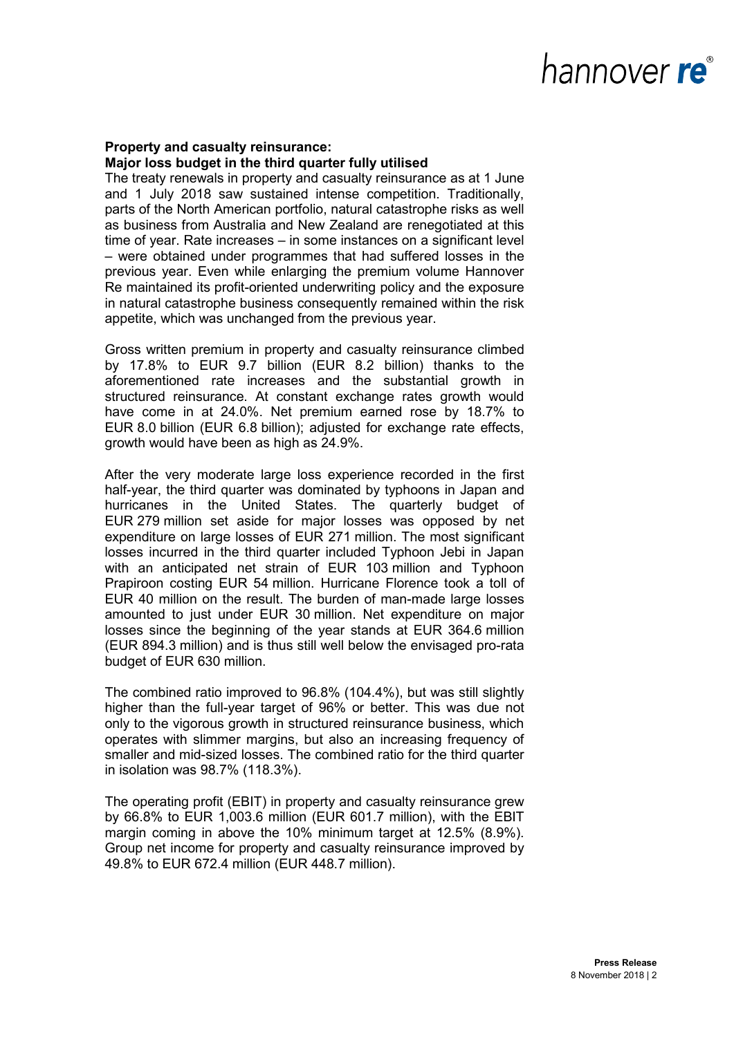### **Property and casualty reinsurance: Major loss budget in the third quarter fully utilised**

The treaty renewals in property and casualty reinsurance as at 1 June and 1 July 2018 saw sustained intense competition. Traditionally, parts of the North American portfolio, natural catastrophe risks as well as business from Australia and New Zealand are renegotiated at this time of year. Rate increases – in some instances on a significant level – were obtained under programmes that had suffered losses in the previous year. Even while enlarging the premium volume Hannover Re maintained its profit-oriented underwriting policy and the exposure in natural catastrophe business consequently remained within the risk appetite, which was unchanged from the previous year.

Gross written premium in property and casualty reinsurance climbed by 17.8% to EUR 9.7 billion (EUR 8.2 billion) thanks to the aforementioned rate increases and the substantial growth in structured reinsurance. At constant exchange rates growth would have come in at 24.0%. Net premium earned rose by 18.7% to EUR 8.0 billion (EUR 6.8 billion); adjusted for exchange rate effects, growth would have been as high as 24.9%.

After the very moderate large loss experience recorded in the first half-year, the third quarter was dominated by typhoons in Japan and hurricanes in the United States. The quarterly budget of EUR 279 million set aside for major losses was opposed by net expenditure on large losses of EUR 271 million. The most significant losses incurred in the third quarter included Typhoon Jebi in Japan with an anticipated net strain of EUR 103 million and Typhoon Prapiroon costing EUR 54 million. Hurricane Florence took a toll of EUR 40 million on the result. The burden of man-made large losses amounted to just under EUR 30 million. Net expenditure on major losses since the beginning of the year stands at EUR 364.6 million (EUR 894.3 million) and is thus still well below the envisaged pro-rata budget of EUR 630 million.

The combined ratio improved to 96.8% (104.4%), but was still slightly higher than the full-year target of 96% or better. This was due not only to the vigorous growth in structured reinsurance business, which operates with slimmer margins, but also an increasing frequency of smaller and mid-sized losses. The combined ratio for the third quarter in isolation was 98.7% (118.3%).

The operating profit (EBIT) in property and casualty reinsurance grew by 66.8% to EUR 1,003.6 million (EUR 601.7 million), with the EBIT margin coming in above the 10% minimum target at 12.5% (8.9%). Group net income for property and casualty reinsurance improved by 49.8% to EUR 672.4 million (EUR 448.7 million).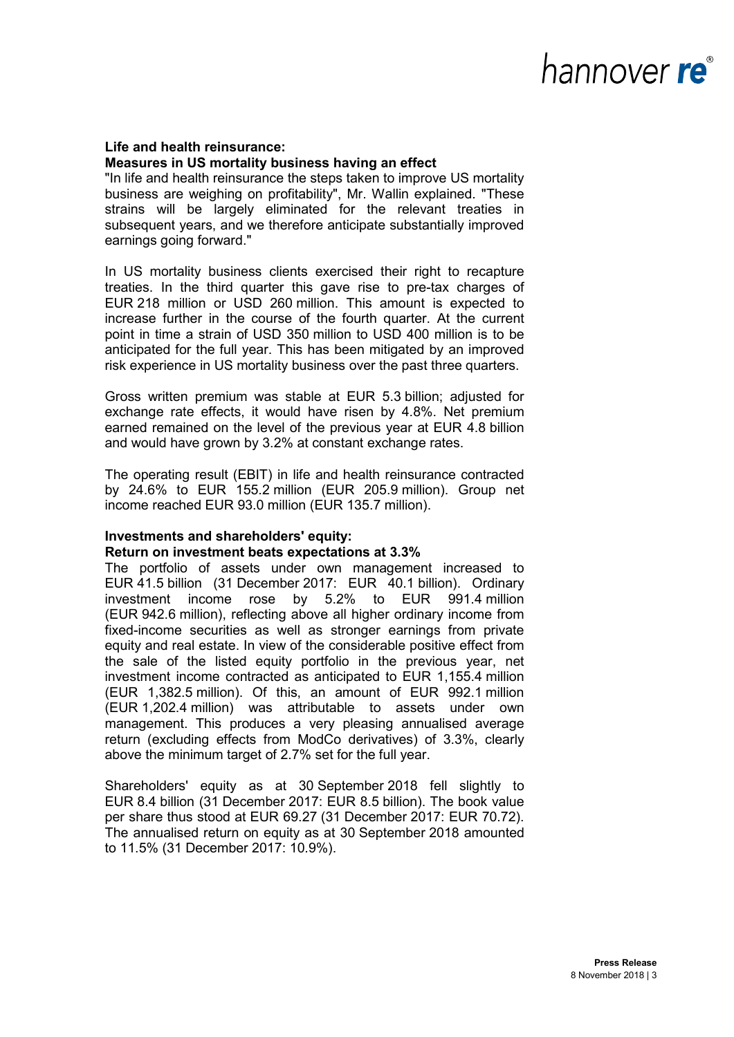### **Life and health reinsurance: Measures in US mortality business having an effect**

"In life and health reinsurance the steps taken to improve US mortality business are weighing on profitability", Mr. Wallin explained. "These strains will be largely eliminated for the relevant treaties in subsequent years, and we therefore anticipate substantially improved earnings going forward."

In US mortality business clients exercised their right to recapture treaties. In the third quarter this gave rise to pre-tax charges of EUR 218 million or USD 260 million. This amount is expected to increase further in the course of the fourth quarter. At the current point in time a strain of USD 350 million to USD 400 million is to be anticipated for the full year. This has been mitigated by an improved risk experience in US mortality business over the past three quarters.

Gross written premium was stable at EUR 5.3 billion; adjusted for exchange rate effects, it would have risen by 4.8%. Net premium earned remained on the level of the previous year at EUR 4.8 billion and would have grown by 3.2% at constant exchange rates.

The operating result (EBIT) in life and health reinsurance contracted by 24.6% to EUR 155.2 million (EUR 205.9 million). Group net income reached EUR 93.0 million (EUR 135.7 million).

### **Investments and shareholders' equity:**

### **Return on investment beats expectations at 3.3%**

The portfolio of assets under own management increased to EUR 41.5 billion (31 December 2017: EUR 40.1 billion). Ordinary investment income rose by 5.2% to EUR 991.4 million (EUR 942.6 million), reflecting above all higher ordinary income from fixed-income securities as well as stronger earnings from private equity and real estate. In view of the considerable positive effect from the sale of the listed equity portfolio in the previous year, net investment income contracted as anticipated to EUR 1,155.4 million (EUR 1,382.5 million). Of this, an amount of EUR 992.1 million (EUR 1,202.4 million) was attributable to assets under own management. This produces a very pleasing annualised average return (excluding effects from ModCo derivatives) of 3.3%, clearly above the minimum target of 2.7% set for the full year.

Shareholders' equity as at 30 September 2018 fell slightly to EUR 8.4 billion (31 December 2017: EUR 8.5 billion). The book value per share thus stood at EUR 69.27 (31 December 2017: EUR 70.72). The annualised return on equity as at 30 September 2018 amounted to 11.5% (31 December 2017: 10.9%).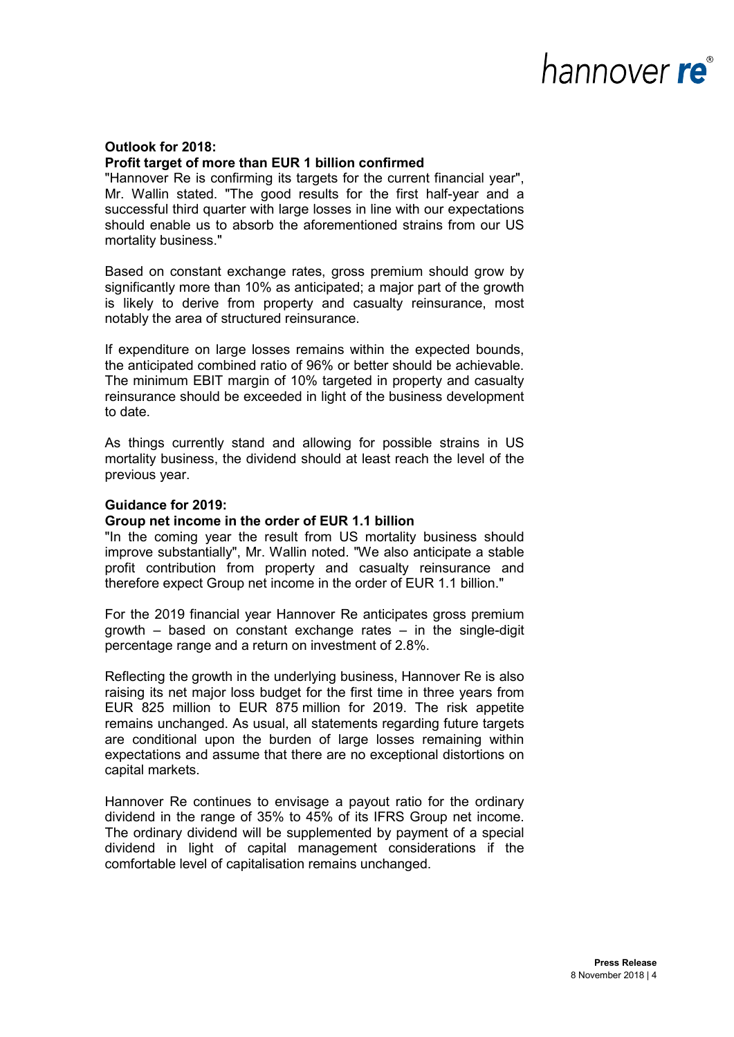# nannover re®

### **Outlook for 2018: Profit target of more than EUR 1 billion confirmed**

"Hannover Re is confirming its targets for the current financial year", Mr. Wallin stated. "The good results for the first half-year and a successful third quarter with large losses in line with our expectations should enable us to absorb the aforementioned strains from our US mortality business."

Based on constant exchange rates, gross premium should grow by significantly more than 10% as anticipated; a major part of the growth is likely to derive from property and casualty reinsurance, most notably the area of structured reinsurance.

If expenditure on large losses remains within the expected bounds, the anticipated combined ratio of 96% or better should be achievable. The minimum EBIT margin of 10% targeted in property and casualty reinsurance should be exceeded in light of the business development to date.

As things currently stand and allowing for possible strains in US mortality business, the dividend should at least reach the level of the previous year.

### **Guidance for 2019:**

#### **Group net income in the order of EUR 1.1 billion**

"In the coming year the result from US mortality business should improve substantially", Mr. Wallin noted. "We also anticipate a stable profit contribution from property and casualty reinsurance and therefore expect Group net income in the order of EUR 1.1 billion."

For the 2019 financial year Hannover Re anticipates gross premium growth – based on constant exchange rates – in the single-digit percentage range and a return on investment of 2.8%.

Reflecting the growth in the underlying business, Hannover Re is also raising its net major loss budget for the first time in three years from EUR 825 million to EUR 875 million for 2019. The risk appetite remains unchanged. As usual, all statements regarding future targets are conditional upon the burden of large losses remaining within expectations and assume that there are no exceptional distortions on capital markets.

Hannover Re continues to envisage a payout ratio for the ordinary dividend in the range of 35% to 45% of its IFRS Group net income. The ordinary dividend will be supplemented by payment of a special dividend in light of capital management considerations if the comfortable level of capitalisation remains unchanged.